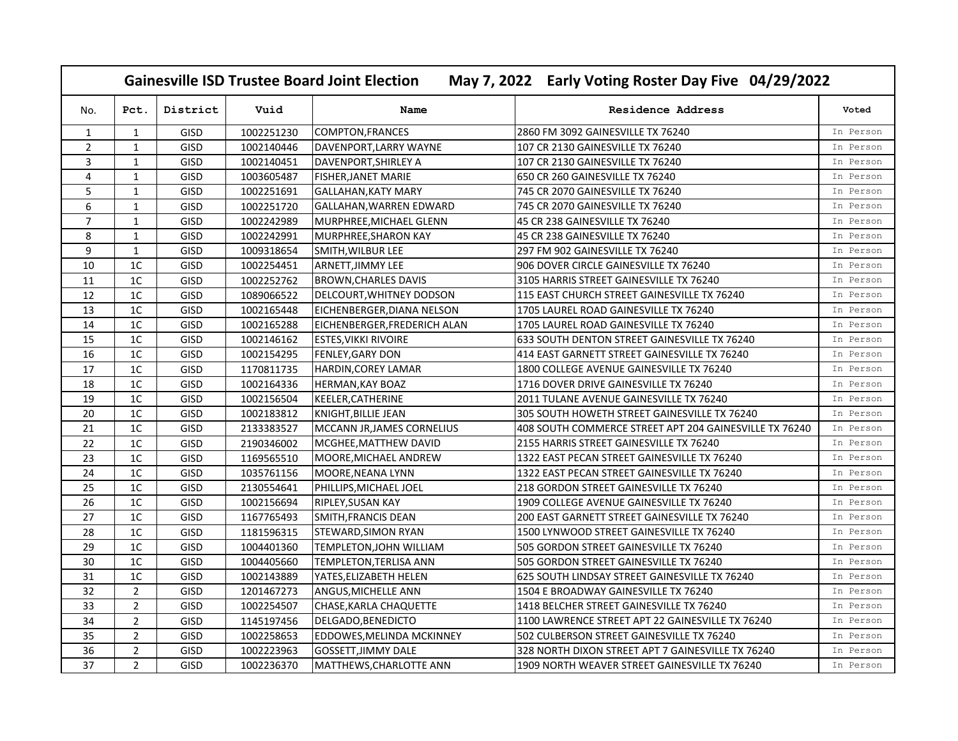| May 7, 2022 Early Voting Roster Day Five 04/29/2022<br><b>Gainesville ISD Trustee Board Joint Election</b> |                |             |            |                              |                                                        |           |  |  |  |
|------------------------------------------------------------------------------------------------------------|----------------|-------------|------------|------------------------------|--------------------------------------------------------|-----------|--|--|--|
| No.                                                                                                        | Pct.           | District    | Vuid       | Name                         | <b>Residence Address</b>                               | Voted     |  |  |  |
| $\mathbf{1}$                                                                                               | $\mathbf{1}$   | GISD        | 1002251230 | <b>COMPTON, FRANCES</b>      | 2860 FM 3092 GAINESVILLE TX 76240                      | In Person |  |  |  |
| $\overline{2}$                                                                                             | $\mathbf{1}$   | GISD        | 1002140446 | DAVENPORT, LARRY WAYNE       | 107 CR 2130 GAINESVILLE TX 76240                       | In Person |  |  |  |
| 3                                                                                                          | $\mathbf{1}$   | GISD        | 1002140451 | DAVENPORT, SHIRLEY A         | 107 CR 2130 GAINESVILLE TX 76240                       | In Person |  |  |  |
| 4                                                                                                          | $\mathbf{1}$   | GISD        | 1003605487 | <b>FISHER, JANET MARIE</b>   | 650 CR 260 GAINESVILLE TX 76240                        | In Person |  |  |  |
| 5                                                                                                          | $\mathbf{1}$   | GISD        | 1002251691 | <b>GALLAHAN, KATY MARY</b>   | 745 CR 2070 GAINESVILLE TX 76240                       | In Person |  |  |  |
| 6                                                                                                          | $\mathbf{1}$   | GISD        | 1002251720 | GALLAHAN, WARREN EDWARD      | 745 CR 2070 GAINESVILLE TX 76240                       | In Person |  |  |  |
| $\overline{7}$                                                                                             | $\mathbf{1}$   | GISD        | 1002242989 | MURPHREE, MICHAEL GLENN      | 45 CR 238 GAINESVILLE TX 76240                         | In Person |  |  |  |
| 8                                                                                                          | $\mathbf{1}$   | GISD        | 1002242991 | MURPHREE, SHARON KAY         | 45 CR 238 GAINESVILLE TX 76240                         | In Person |  |  |  |
| 9                                                                                                          | $\mathbf{1}$   | GISD        | 1009318654 | SMITH, WILBUR LEE            | 297 FM 902 GAINESVILLE TX 76240                        | In Person |  |  |  |
| 10                                                                                                         | 1 <sup>C</sup> | GISD        | 1002254451 | <b>ARNETT, JIMMY LEE</b>     | 906 DOVER CIRCLE GAINESVILLE TX 76240                  | In Person |  |  |  |
| 11                                                                                                         | 1C             | GISD        | 1002252762 | <b>BROWN, CHARLES DAVIS</b>  | 3105 HARRIS STREET GAINESVILLE TX 76240                | In Person |  |  |  |
| 12                                                                                                         | 1 <sup>C</sup> | GISD        | 1089066522 | DELCOURT, WHITNEY DODSON     | 115 EAST CHURCH STREET GAINESVILLE TX 76240            | In Person |  |  |  |
| 13                                                                                                         | 1C             | GISD        | 1002165448 | EICHENBERGER, DIANA NELSON   | 1705 LAUREL ROAD GAINESVILLE TX 76240                  | In Person |  |  |  |
| $14\,$                                                                                                     | 1 <sup>C</sup> | GISD        | 1002165288 | EICHENBERGER, FREDERICH ALAN | 1705 LAUREL ROAD GAINESVILLE TX 76240                  | In Person |  |  |  |
| 15                                                                                                         | 1 <sup>C</sup> | GISD        | 1002146162 | <b>ESTES, VIKKI RIVOIRE</b>  | 633 SOUTH DENTON STREET GAINESVILLE TX 76240           | In Person |  |  |  |
| 16                                                                                                         | 1 <sup>C</sup> | <b>GISD</b> | 1002154295 | <b>FENLEY, GARY DON</b>      | 414 EAST GARNETT STREET GAINESVILLE TX 76240           | In Person |  |  |  |
| 17                                                                                                         | 1 <sup>C</sup> | GISD        | 1170811735 | <b>HARDIN, COREY LAMAR</b>   | 1800 COLLEGE AVENUE GAINESVILLE TX 76240               | In Person |  |  |  |
| 18                                                                                                         | 1 <sup>C</sup> | GISD        | 1002164336 | <b>HERMAN, KAY BOAZ</b>      | 1716 DOVER DRIVE GAINESVILLE TX 76240                  | In Person |  |  |  |
| 19                                                                                                         | 1 <sup>C</sup> | GISD        | 1002156504 | KEELER, CATHERINE            | 2011 TULANE AVENUE GAINESVILLE TX 76240                | In Person |  |  |  |
| 20                                                                                                         | 1 <sup>C</sup> | GISD        | 1002183812 | KNIGHT, BILLIE JEAN          | 305 SOUTH HOWETH STREET GAINESVILLE TX 76240           | In Person |  |  |  |
| 21                                                                                                         | 1 <sup>C</sup> | GISD        | 2133383527 | MCCANN JR, JAMES CORNELIUS   | 408 SOUTH COMMERCE STREET APT 204 GAINESVILLE TX 76240 | In Person |  |  |  |
| 22                                                                                                         | 1C             | GISD        | 2190346002 | MCGHEE, MATTHEW DAVID        | 2155 HARRIS STREET GAINESVILLE TX 76240                | In Person |  |  |  |
| 23                                                                                                         | 1 <sup>C</sup> | GISD        | 1169565510 | MOORE, MICHAEL ANDREW        | 1322 EAST PECAN STREET GAINESVILLE TX 76240            | In Person |  |  |  |
| 24                                                                                                         | 1C             | GISD        | 1035761156 | MOORE, NEANA LYNN            | 1322 EAST PECAN STREET GAINESVILLE TX 76240            | In Person |  |  |  |
| 25                                                                                                         | 1C             | GISD        | 2130554641 | PHILLIPS, MICHAEL JOEL       | 218 GORDON STREET GAINESVILLE TX 76240                 | In Person |  |  |  |
| 26                                                                                                         | 1C             | GISD        | 1002156694 | RIPLEY, SUSAN KAY            | 1909 COLLEGE AVENUE GAINESVILLE TX 76240               | In Person |  |  |  |
| 27                                                                                                         | 1 <sup>C</sup> | GISD        | 1167765493 | SMITH, FRANCIS DEAN          | 200 EAST GARNETT STREET GAINESVILLE TX 76240           | In Person |  |  |  |
| 28                                                                                                         | 1C             | GISD        | 1181596315 | STEWARD, SIMON RYAN          | 1500 LYNWOOD STREET GAINESVILLE TX 76240               | In Person |  |  |  |
| 29                                                                                                         | 1 <sup>C</sup> | GISD        | 1004401360 | TEMPLETON, JOHN WILLIAM      | 505 GORDON STREET GAINESVILLE TX 76240                 | In Person |  |  |  |
| 30                                                                                                         | 1C             | GISD        | 1004405660 | TEMPLETON, TERLISA ANN       | 505 GORDON STREET GAINESVILLE TX 76240                 | In Person |  |  |  |
| 31                                                                                                         | 1 <sup>C</sup> | GISD        | 1002143889 | YATES, ELIZABETH HELEN       | 625 SOUTH LINDSAY STREET GAINESVILLE TX 76240          | In Person |  |  |  |
| 32                                                                                                         | $\overline{2}$ | GISD        | 1201467273 | ANGUS, MICHELLE ANN          | 1504 E BROADWAY GAINESVILLE TX 76240                   | In Person |  |  |  |
| 33                                                                                                         | $\overline{2}$ | GISD        | 1002254507 | CHASE, KARLA CHAQUETTE       | 1418 BELCHER STREET GAINESVILLE TX 76240               | In Person |  |  |  |
| 34                                                                                                         | $\overline{2}$ | GISD        | 1145197456 | DELGADO, BENEDICTO           | 1100 LAWRENCE STREET APT 22 GAINESVILLE TX 76240       | In Person |  |  |  |
| 35                                                                                                         | $\overline{2}$ | GISD        | 1002258653 | EDDOWES, MELINDA MCKINNEY    | 502 CULBERSON STREET GAINESVILLE TX 76240              | In Person |  |  |  |
| 36                                                                                                         | $\overline{2}$ | GISD        | 1002223963 | GOSSETT, JIMMY DALE          | 328 NORTH DIXON STREET APT 7 GAINESVILLE TX 76240      | In Person |  |  |  |
| 37                                                                                                         | $\overline{2}$ | GISD        | 1002236370 | MATTHEWS, CHARLOTTE ANN      | 1909 NORTH WEAVER STREET GAINESVILLE TX 76240          | In Person |  |  |  |